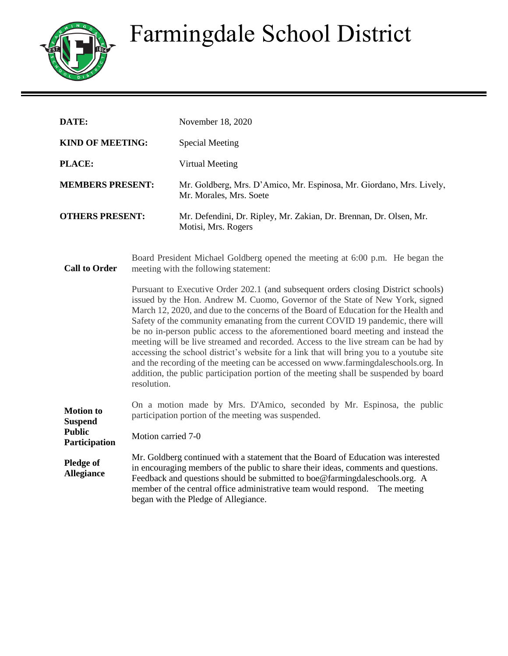## Farmingdale School District



| DATE:                                               |                                                                                                                        | November 18, 2020                                                                                                                                                                                                                                                                                                                                                                                                                                                                                                                                                                                                                                                                                                                                                                                      |
|-----------------------------------------------------|------------------------------------------------------------------------------------------------------------------------|--------------------------------------------------------------------------------------------------------------------------------------------------------------------------------------------------------------------------------------------------------------------------------------------------------------------------------------------------------------------------------------------------------------------------------------------------------------------------------------------------------------------------------------------------------------------------------------------------------------------------------------------------------------------------------------------------------------------------------------------------------------------------------------------------------|
| <b>KIND OF MEETING:</b>                             |                                                                                                                        | <b>Special Meeting</b>                                                                                                                                                                                                                                                                                                                                                                                                                                                                                                                                                                                                                                                                                                                                                                                 |
| PLACE:                                              |                                                                                                                        | Virtual Meeting                                                                                                                                                                                                                                                                                                                                                                                                                                                                                                                                                                                                                                                                                                                                                                                        |
| <b>MEMBERS PRESENT:</b>                             |                                                                                                                        | Mr. Goldberg, Mrs. D'Amico, Mr. Espinosa, Mr. Giordano, Mrs. Lively,<br>Mr. Morales, Mrs. Soete                                                                                                                                                                                                                                                                                                                                                                                                                                                                                                                                                                                                                                                                                                        |
| <b>OTHERS PRESENT:</b>                              |                                                                                                                        | Mr. Defendini, Dr. Ripley, Mr. Zakian, Dr. Brennan, Dr. Olsen, Mr.<br>Motisi, Mrs. Rogers                                                                                                                                                                                                                                                                                                                                                                                                                                                                                                                                                                                                                                                                                                              |
| <b>Call to Order</b>                                | Board President Michael Goldberg opened the meeting at 6:00 p.m. He began the<br>meeting with the following statement: |                                                                                                                                                                                                                                                                                                                                                                                                                                                                                                                                                                                                                                                                                                                                                                                                        |
|                                                     | resolution.                                                                                                            | Pursuant to Executive Order 202.1 (and subsequent orders closing District schools)<br>issued by the Hon. Andrew M. Cuomo, Governor of the State of New York, signed<br>March 12, 2020, and due to the concerns of the Board of Education for the Health and<br>Safety of the community emanating from the current COVID 19 pandemic, there will<br>be no in-person public access to the aforementioned board meeting and instead the<br>meeting will be live streamed and recorded. Access to the live stream can be had by<br>accessing the school district's website for a link that will bring you to a youtube site<br>and the recording of the meeting can be accessed on www.farmingdaleschools.org. In<br>addition, the public participation portion of the meeting shall be suspended by board |
| <b>Motion</b> to<br><b>Suspend</b><br><b>Public</b> | Motion carried 7-0                                                                                                     | On a motion made by Mrs. D'Amico, seconded by Mr. Espinosa, the public<br>participation portion of the meeting was suspended.                                                                                                                                                                                                                                                                                                                                                                                                                                                                                                                                                                                                                                                                          |
| Participation<br><b>Pledge of</b>                   |                                                                                                                        | Mr. Goldberg continued with a statement that the Board of Education was interested                                                                                                                                                                                                                                                                                                                                                                                                                                                                                                                                                                                                                                                                                                                     |
| <b>Allegiance</b>                                   |                                                                                                                        | in encouraging members of the public to share their ideas, comments and questions.<br>Feedback and questions should be submitted to boe@farmingdaleschools.org. A<br>member of the central office administrative team would respond.<br>The meeting<br>began with the Pledge of Allegiance.                                                                                                                                                                                                                                                                                                                                                                                                                                                                                                            |